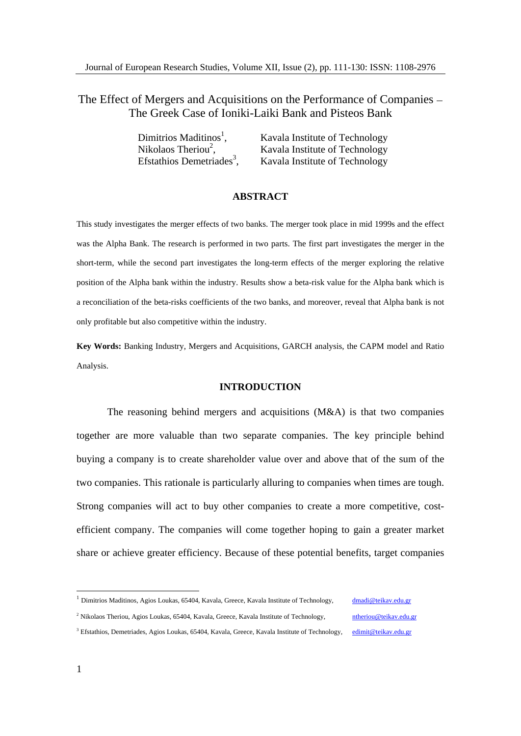# The Effect of Mergers and Acquisitions on the Performance of Companies The Greek Case of Ioniki-Laiki Bank and Pisteos Bank

| Dimitrios Maditinos <sup>1</sup>      | Aavala Institute of Technology                |
|---------------------------------------|-----------------------------------------------|
| Nikolaos Theriou <sup>2</sup>         | $\sim$ m.<br>A availa institute of Technology |
| Efstathios Demetriades <sup>3</sup> . | $c_{\rm T}$<br>Kavala Institute of Technology |

### **ABSTRACT**

This study investigates the merger effects of two banks. The merger took place in mid 1999s and the effect was the Alpha Bank. The research is performed in two parts. The first part investigates the merger in the short-term, while the second part investigates the long-term effects of the merger exploring the relative position of the Alpha bank within the industry. Results show abeta-risk value for the Alpha bank which is a reconciliation of the beta-risks coefficients of the two banks, and moreover, reveal that Alpha bank is not only profitable but also competitive within the industry.

**Key Words:** Banking Industry, Mergers and Acquisitions, GARCH analysis, the CAPM model and Ratio Analysis. The contract of the contract of the contract of the contract of the contract of the contract of the contract of the contract of the contract of the contract of the contract of the contract of the contract of the

### **INTRODUCTION**

The reasoning behind mergers and acquisitions (M&A) is that two companies together are more valuable than two separate companies. The key principle behind buying a company is to create shareholder value over and above that of the sum of the two companies. This rationale is particularly alluring to companies when times are tough. Strong companies will act to buy other companies to create a more competitive, cost efficient company. The companies will come together hoping to gain a greater market share or achieve greater efficiency. Because of these potential benefits, target companies

<sup>3</sup> Efstathios, Demetriades, Agios Loukas, 65404, Kavala, Greece, Kavala Institute of Technology, edimit@teikav.edu.gr

<sup>&</sup>lt;sup>1</sup> Dimitrios Maditinos, Agios Loukas, 65404, Kavala, Greece, Kavala Institute of Technology, *dmadi@teikav.edu.gr* 

<sup>&</sup>lt;sup>2</sup> Nikolaos Theriou, Agios Loukas, 65404, Kavala, Greece, Kavala Institute of Technology, http://www.edu.gr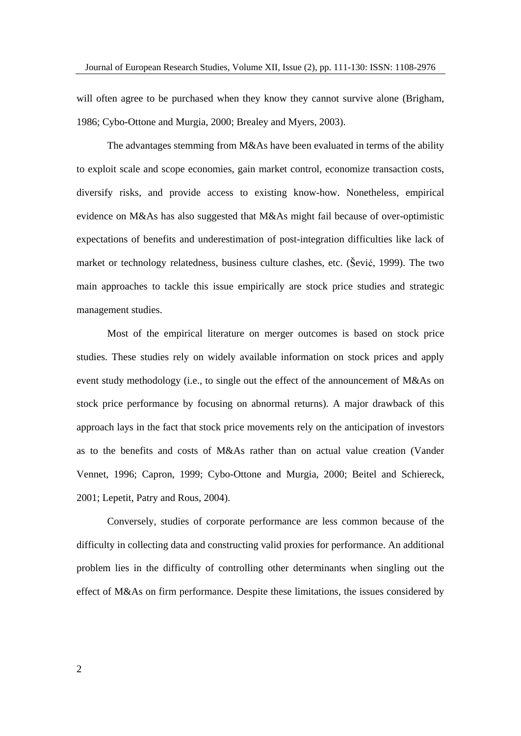will often agree to be purchased when they know they cannot survive alone (Brigham, 1986; Cybo-Ottone and Murgia, 2000; Brealey and Myers, 2003).

The advantages stemming from M&As have been evaluated in terms of the ability to exploit scale and scope economies, gain market control, economize transaction costs, diversify risks, and provide access to existing know-how. Nonetheless, empirical evidence on M&As has also suggested that M&As might fail because of over-optimistic expectations of benefits and underestimation of post-integration difficulties like lack of market or technology relatedness, business culture clashes, etc. (Šević, 1999). The two main approaches to tackle this issue empirically are stock price studies and strategic management studies.

Most of the empirical literature on merger outcomes is based on stock price studies. These studies rely on widely available information on stock prices and apply event study methodology (i.e., to single out the effect of the announcement of M&As on stock price performance by focusing on abnormal returns). A major drawback of this approach lays in the fact that stock price movements rely on the anticipation of investors as to the benefits and costs of M&As rather than on actual value creation (Vander Vennet, 1996; Capron, 1999; Cybo-Ottone and Murgia, 2000; Beitel and Schiereck, 2001; Lepetit, Patry and Rous, 2004).

Conversely, studies of corporate performance are less common because of the difficulty in collecting data and constructing valid proxies for performance. An additional problem lies in the difficulty of controlling other determinants when singling out the effect of M&As on firm performance. Despite these limitations, the issues considered by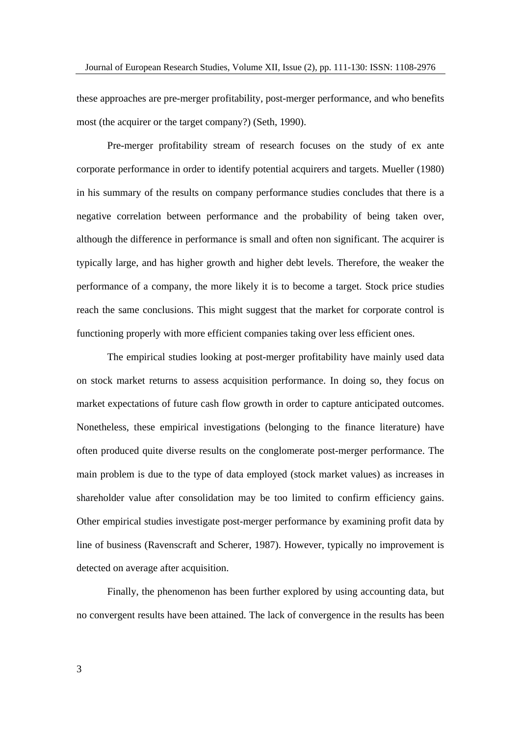these approaches are pre-merger profitability, post-merger performance, and who benefits most (the acquirer or the target company?) (Seth, 1990).

Pre-merger profitability stream of research focuses on the study of ex ante corporate performance in order to identify potential acquirers and targets. Mueller (1980) in his summary of the results on company performance studies concludes that there is a negative correlation between performance and the probability of being taken over, although the difference in performance is small and often non significant. The acquirer is typically large, and has higher growth and higher debt levels. Therefore, the weaker the performance of a company, the more likely it is to become a target. Stock price studies reach the same conclusions. This might suggest that the market for corporate control is functioning properly with more efficient companies taking over less efficient ones.

The empirical studies looking at post-merger profitability have mainly used data on stock market returns to assess acquisition performance. In doing so, they focus on market expectations of future cash flow growth in order to capture anticipated outcomes. Nonetheless, these empirical investigations (belonging to the finance literature) have often produced quite diverse results on the conglomerate post-merger performance. The main problem is due to the type of data employed (stock market values) as increases in shareholder value after consolidation may be too limited to confirm efficiency gains. Other empirical studies investigate post-merger performance by examining profit data by line of business (Ravenscraft and Scherer, 1987). However, typically no improvement is detected on average after acquisition.

Finally, the phenomenon has been further explored by using accounting data, but no convergent results have been attained. The lack of convergence in the results has been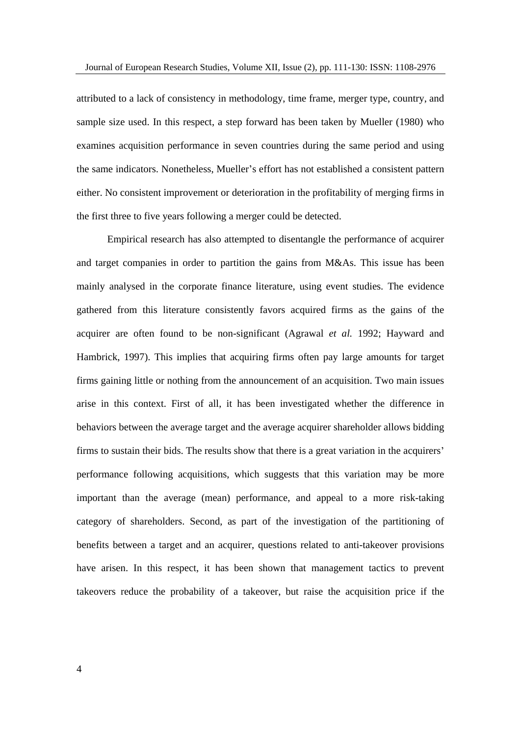attributed to a lack of consistency in methodology, time frame, merger type, country, and sample size used. In this respect, a step forward has been taken by Mueller (1980) who examines acquisition performance in seven countries during the same period and using the same indicators. Nonetheless, Mueller's effort has not established a consistent pattern either. No consistent improvement or deterioration in the profitability of merging firms in the first three to five years following a merger could be detected.

Empirical research has also attempted to disentangle the performance of acquirer and target companies in order to partition the gains from M&As. This issue has been mainly analysed in the corporate finance literature, using event studies. The evidence gathered from this literature consistently favors acquired firms as the gains of the acquirer are often found to be non-significant (Agrawal *et al.* 1992; Hayward and Hambrick, 1997). This implies that acquiring firms often pay large amounts for target firms gaining little or nothing from the announcement of an acquisition. Two main issues arise in this context. First of all, it has been investigated whether the difference in behaviors between the average target and the average acquirer shareholder allows bidding firms to sustain their bids. The results show that there is a great variation in the acquirers' performance following acquisitions, which suggests that this variation may be more important than the average (mean) performance, and appeal to a more risk-taking category of shareholders. Second, as part of the investigation of the partitioning of benefits between a target and an acquirer, questions related to anti-takeover provisions have arisen. In this respect, it has been shown that management tactics to prevent takeovers reduce the probability of a takeover, but raise the acquisition price if the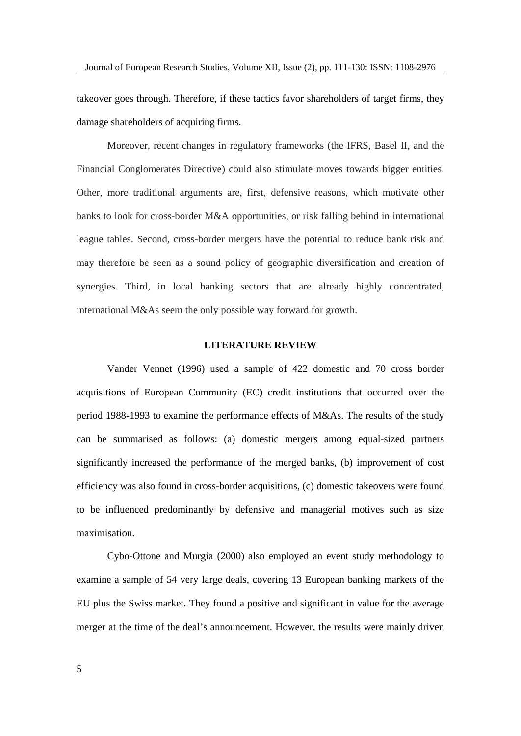takeover goes through. Therefore, if these tactics favor shareholders of target firms, they damage shareholders of acquiring firms.

Moreover, recent changes in regulatory frameworks (the IFRS, Basel II, and the Financial Conglomerates Directive) could also stimulate moves towards bigger entities. Other, more traditional arguments are, first, defensive reasons, which motivate other banks to look for cross-border M&A opportunities, or risk falling behind in international league tables. Second, cross-border mergers have the potential to reduce bank risk and may therefore be seen as a sound policy of geographic diversification and creation of synergies. Third, in local banking sectors that are already highly concentrated, international M&As seem the only possible way forward for growth.

### **LITERATURE REVIEW**

Vander Vennet (1996) used a sample of 422 domestic and 70 cross border acquisitions of European Community (EC) credit institutions that occurred over the period 1988-1993 to examine the performance effects of M&As. The results of the study can be summarised as follows: (a) domestic mergers among equal-sized partners significantly increased the performance of the merged banks, (b) improvement of cost efficiency was also found in cross-border acquisitions, (c) domestic takeovers were found to be influenced predominantly by defensive and managerial motives such as size maximisation.

Cybo-Ottone and Murgia (2000) also employed an event study methodology to examine a sample of 54 very large deals, covering 13 European banking markets of the EU plus the Swiss market. They found a positive and significant in value for the average merger at the time of the deal's announcement. However, the results were mainly driven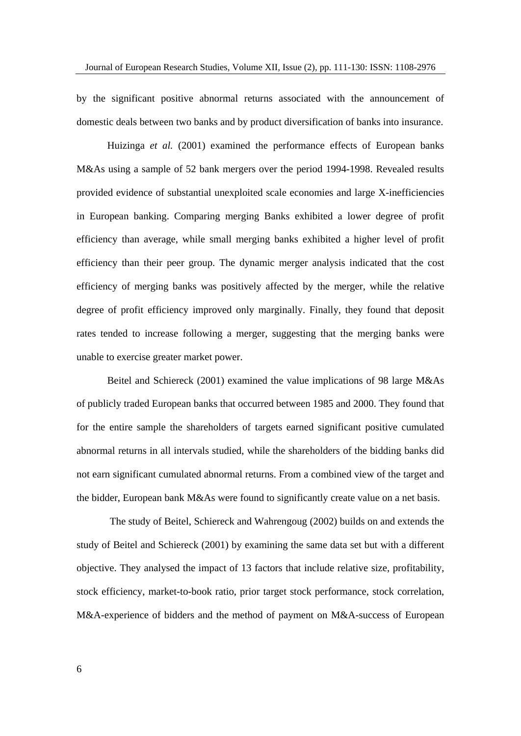by the significant positive abnormal returns associated with the announcement of domestic deals between two banks and by product diversification of banks into insurance.

Huizinga *et al.* (2001) examined the performance effects of European banks M&As using a sample of 52 bank mergers over the period 1994-1998. Revealed results provided evidence of substantial unexploited scale economies and large X-inefficiencies in European banking. Comparing merging Banks exhibited a lower degree of profit efficiency than average, while small merging banks exhibited a higher level of profit efficiency than their peer group. The dynamic merger analysis indicated that the cost efficiency of merging banks was positively affected by the merger, while the relative degree of profit efficiency improved only marginally. Finally, they found that deposit rates tended to increase following a merger, suggesting that the merging bankswere unable to exercise greater market power.

Beitel and Schiereck (2001) examined the value implications of 98 large M&As of publicly traded European banks that occurred between 1985 and 2000. They found that for the entire sample the shareholders of targets earned significant positive cumulated abnormal returns in all intervals studied, while the shareholders of the bidding banks did not earn significant cumulated abnormal returns. From a combined view of the target and the bidder, European bank M&As were found to significantly create value on a net basis.

The study of Beitel, Schiereck and Wahrengoug (2002) builds on and extends the study of Beitel and Schiereck (2001) by examining the same data set but with a different objective. They analysed the impact of 13 factors that include relative size, profitability, stock efficiency, market-to-book ratio, prior target stock performance, stock correlation, M&A-experience of bidders and the method of payment on M&A-success of European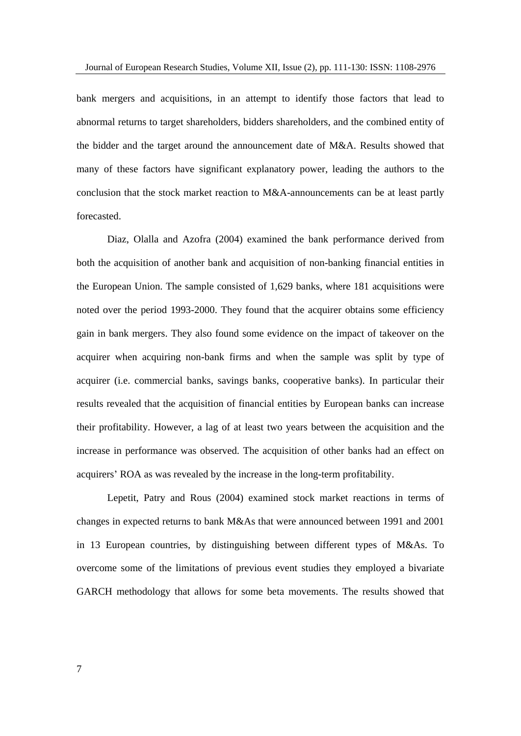bank mergers and acquisitions, in an attempt to identify those factors that lead to abnormal returns to target shareholders, bidders shareholders, and the combined entity of the bidder and the target around the announcement date of M&A. Results showed that many of these factors have significant explanatory power, leading the authors to the conclusion that the stock market reaction to M&A-announcements can be at least partly forecasted.

Diaz, Olalla and Azofra (2004) examined the bank performance derived from both the acquisition of another bank and acquisition of non-banking financial entities in the European Union. The sample consisted of 1,629 banks, where 181 acquisitions were noted over the period 1993-2000. They found that the acquirer obtains some efficiency gain in bank mergers. They also found some evidence on the impact of takeover on the acquirer when acquiring non-bank firms and when the sample was split by type of acquirer (i.e. commercial banks, savings banks, cooperative banks). In particular their results revealed that the acquisition of financial entities by European banks can increase their profitability. However, a lag of at least two years between the acquisition and the increase in performance was observed. The acquisition of other banks had an effect on acquirers' ROA as was revealed by the increase in the long-term profitability.

Lepetit, Patry and Rous (2004) examined stock market reactions in terms of changes in expected returns to bank M&As that were announced between 1991 and 2001 in 13 European countries, by distinguishing between different types of M&As. To overcome some of the limitations of previous event studies they employed a bivariate GARCH methodology that allows for some beta movements. The results showed that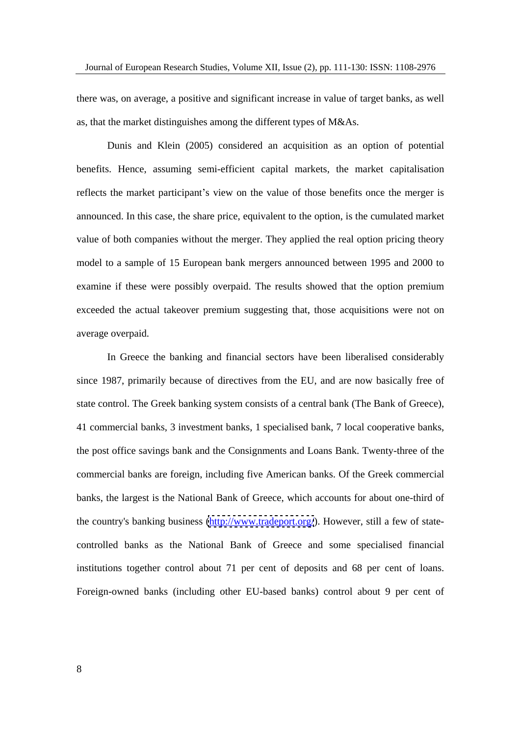there was, on average, a positive and significant increase in value of target banks, as well as, that the market distinguishes among the different types of M&As.

Dunis and Klein (2005) considered an acquisition as an option of potential benefits. Hence, assuming semi-efficient capital markets, the market capitalisation reflects the market participant's view on the value of those benefits once the merger is announced. In this case, the share price, equivalent to the option, is the cumulated market value of both companies without the merger. They applied the real option pricing theory model to a sample of 15 European bank mergers announced between 1995 and 2000 to examine if these were possibly overpaid. The results showed that the option premium exceeded the actual takeover premium suggesting that, those acquisitions were not on average overpaid.

In Greece the banking and financial sectors have been liberalised considerably since 1987, primarily because of directives from the EU, and are now basically free of state control. The Greek banking system consists of a central bank (The Bank of Greece), 41 commercial banks, 3 investment banks, 1 specialised bank, 7 local cooperative banks, the post office savings bank and the Consignments and Loans Bank. Twenty-three of the commercial banks are foreign, including five American banks. Of the Greek commercial banks, the largest is the National Bank of Greece, which accounts for about one-third of the country's banking business [\(http://www.tradeport.org/](http://www.tradeport.org/)). However, still a few of statecontrolled banks as the National Bank of Greece and some specialised financial institutions together control about 71 per cent of deposits and 68 per cent of loans. Foreign-owned banks (including other EU-based banks) control about 9 per cent of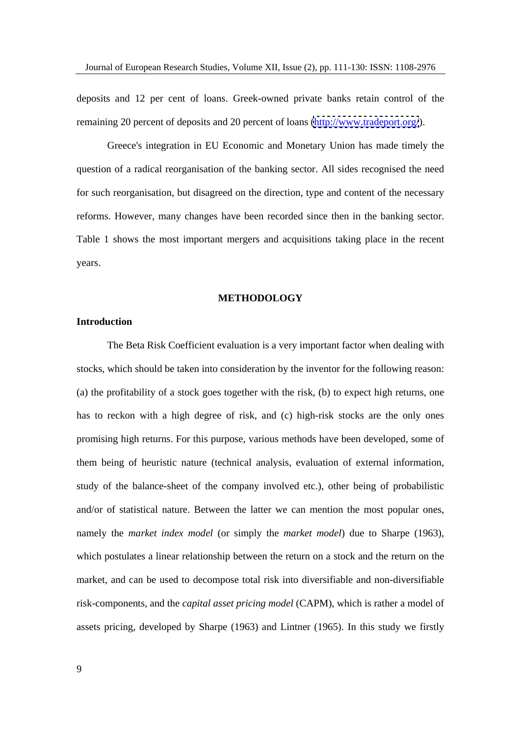deposits and 12 per cent of loans. Greek-owned private banks retain control of the remaining 20 percent of deposits and 20 percent of loans [\(http://www.tradeport.org/](http://www.tradeport.org/)).<br>Greece's integration in EU Economic and Monetary Union has made timely the

question of a radical reorganisation of the banking sector. All sides recognised the need for such reorganisation, but disagreed on the direction, type and content of the necessary reforms. However, many changes have been recorded since then in the banking sector. Table 1 shows the most important mergers and acquisitions taking place in the recent years.

### **METHODOLOGY**

### **Introduction**

The Beta Risk Coefficient evaluation is a very important factor when dealing with stocks, which should be taken into consideration by the inventor for the following reason: (a) the profitability of a stock goes together with the risk, (b) to expect high returns, one has to reckon with a high degree of risk, and (c) high-risk stocks are the only ones promising high returns. For this purpose, various methods have been developed, some of them being of heuristic nature (technical analysis, evaluation of external information, study of the balance-sheet of the company involved etc.), other being of probabilistic and/or of statistical nature. Between the latter we can mention the most popular ones, namely the *market index model* (or simply the *market model*) due to Sharpe (1963), which postulates a linear relationship between the return on a stock and the return on the market, and can be used to decompose total risk into diversifiable and non-diversifiable risk-components, and the *capital asset pricing model* (CAPM), which is rather a model of assets pricing, developed by Sharpe (1963) and Lintner (1965). In this study we firstly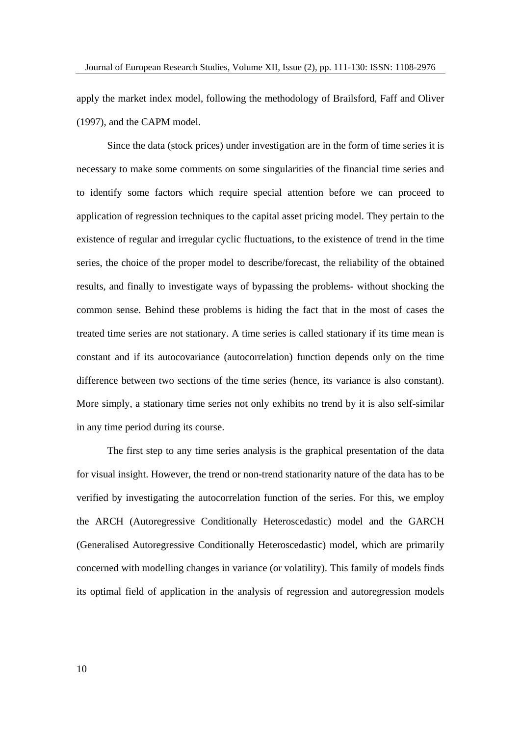apply the market index model, following the methodology of Brailsford, Faffand Oliver (1997), and the CAPM model.

Since the data (stock prices) under investigation are in the form of time series it is necessary to make some comments on some singularities of the financial time series and to identify some factors which require special attention before we can proceed to application of regression techniques to the capital asset pricing model. They pertain to the existence of regular and irregular cyclic fluctuations, to the existence of trend in the time series, the choice of the proper model to describe/forecast, the reliability of the obtained results, and finally to investigate ways of bypassing the problems- without shocking the common sense. Behind these problems is hiding the fact that in the most of cases the treated time series are not stationary. A time series is called stationary if its time mean is constant and if its autocovariance (autocorrelation) function depends only on the time difference between two sections of the time series (hence, its variance is also constant). More simply, a stationary time series not only exhibits no trend by it is also self-similar in any time period during its course.

The first step to any time series analysis is the graphical presentation of the data for visual insight. However, the trend or non-trend stationarity nature of the data has to be verified by investigating the autocorrelation function of the series. For this, we employ the ARCH (Autoregressive Conditionally Heteroscedastic) model and the GARCH (Generalised Autoregressive Conditionally Heteroscedastic) model, which are primarily concerned with modelling changes in variance (or volatility). This family of models finds its optimal field of application in the analysis of regression and autoregression models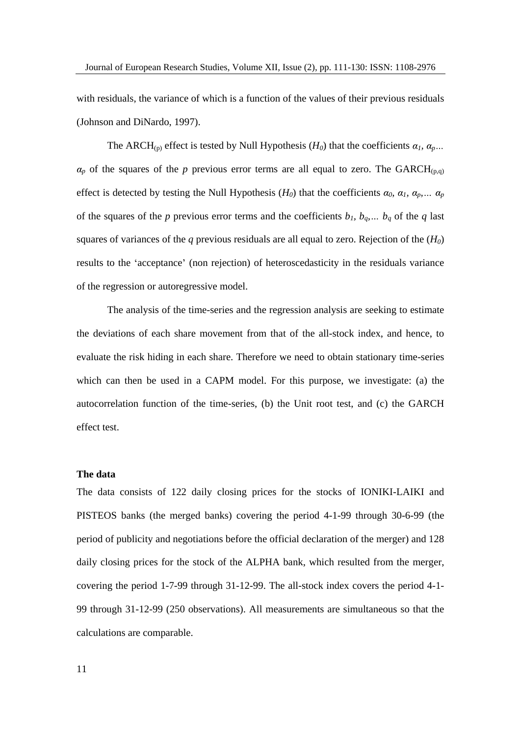with residuals, the variance of which is a function of the values of their previous residuals (Johnson and DiNardo, 1997).

The ARCH<sub>(p)</sub> effect is tested by Null Hypothesis ( $H_0$ ) that the coefficients  $\alpha_1$ ,  $\alpha_p$ ...  $a_p$  of the squares of the *p* previous error terms are all equal to zero. The GARCH<sub>(p,q)</sub> effect is detected by testing the Null Hypothesis ( $H_0$ ) that the coefficients  $\alpha_0$ ,  $\alpha_1$ ,  $\alpha_p$ ,  $\alpha_p$ of the squares of the *p* previous error terms and the coefficients  $b_1$ ,  $b_q$ ,  $b_q$  of the *q* last squares of variances of the  $q$  previous residuals are all equal to zero. Rejection of the  $(H_0)$ results to the 'acceptance' (non rejection) of heteroscedasticity in the residuals variance of the regression or autoregressive model.

The analysis of the time-series and the regression analysis are seeking to estimate the deviations of each share movement from that of the all-stock index, and hence, to evaluate the risk hiding in each share. Therefore we need to obtain stationary time-series which can then be used in a CAPM model. For this purpose, we investigate: (a) the autocorrelation function of the time-series, (b) the Unit root test, and (c) the GARCH effect test.

### **The data**

The data consists of 122 daily closing prices for the stocks of IONIKI-LAIKI and PISTEOS banks (the merged banks) covering the period 4-1-99 through 30-6-99 (the period of publicity and negotiations before the official declaration of the merger) and 128 daily closing prices for the stock of the ALPHA bank, which resulted from the merger, covering the period 1-7-99 through 31-12-99. The all-stock index covers the period 4-1- 99 through 31-12-99 (250 observations). All measurements are simultaneous so that the calculations are comparable.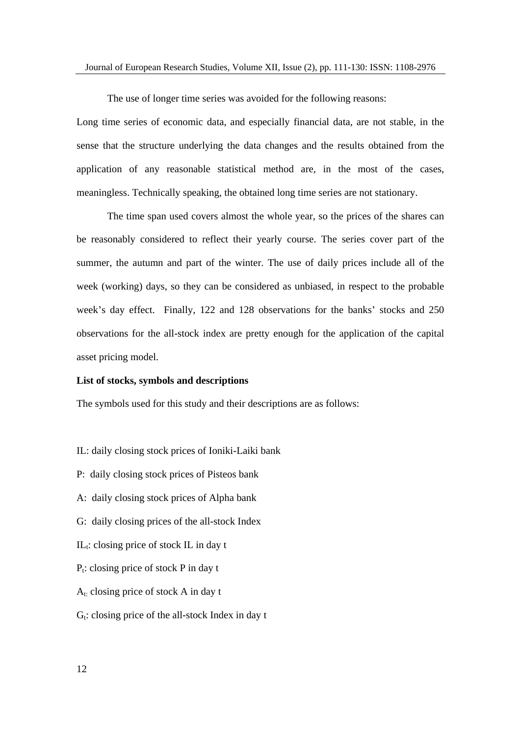The use of longer time series was avoided for the following reasons:

Long time series of economic data, and especially financial data, are not stable, in the sense that the structure underlying the data changes and the results obtained from the application of any reasonable statistical method are, in the most of the cases, meaningless. Technically speaking, the obtained long time series are not stationary.

The time span used covers almost the whole year, so the prices of the shares can be reasonably considered to reflect their yearly course. The series cover part of the summer, the autumn and part of the winter. The use of daily prices include all of the week (working) days, so they can be considered as unbiased, in respect to the probable week's day effect. Finally, 122 and 128 observations for the banks' stocks and 250 observations for the all-stock index are pretty enough for the application of the capital asset pricing model.

#### **List of stocks, symbols and descriptions**

The symbols used for this study and their descriptions are as follows:

- IL: daily closing stock prices of Ioniki-Laiki bank
- P: daily closing stock prices of Pisteos bank
- A: daily closing stock prices of Alpha bank
- G: daily closing prices of the all-stock Index
- $IL_t$ : closing price of stock IL in day t
- $P_t$ : closing price of stock P in day t
- $A_t$ : closing price of stock A in day t
- $G_t$ : closing price of the all-stock Index in day t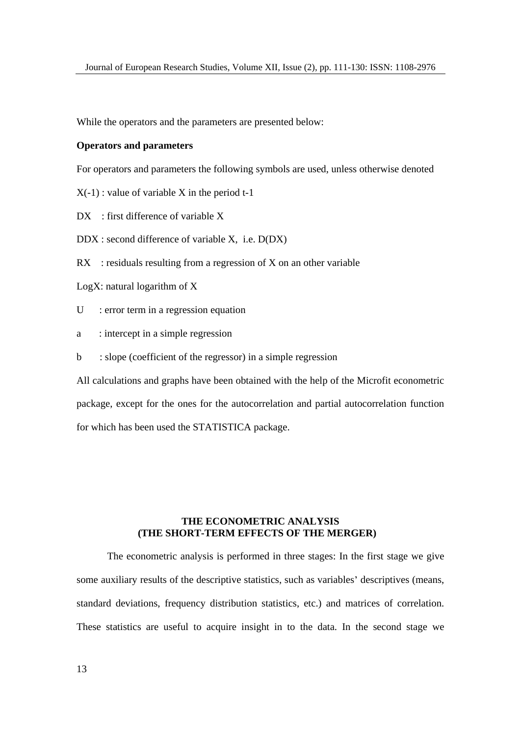While the operators and the parameters are presented below:

### **Operators and parameters**

For operators and parameters the following symbols are used, unless otherwise denoted

 $X(-1)$ : value of variable X in the period t-1

 $DX$ : first difference of variable  $X$ 

DDX : second difference of variable X, i.e. D(DX)

 $RX$ : residuals resulting from a regression of X on an other variable

LogX: natural logarithm of X

U : error term in a regression equation

a : intercept in a simple regression

b : slope (coefficient of the regressor) in a simple regression

All calculations and graphs have been obtained with the help of the Microfit econometric package, except for the ones for the autocorrelation and partial autocorrelation function for which has been used the STATISTICA package.

### **THE ECONOMETRIC ANALYSIS (THE SHORT-TERM EFFECTS OF THE MERGER)**

The econometric analysis is performed in three stages: In the first stage we give some auxiliary results of the descriptive statistics, such as variables' descriptives (means, standard deviations, frequency distribution statistics, etc.) and matrices of correlation. These statistics are useful to acquire insight in to the data. In the second stage we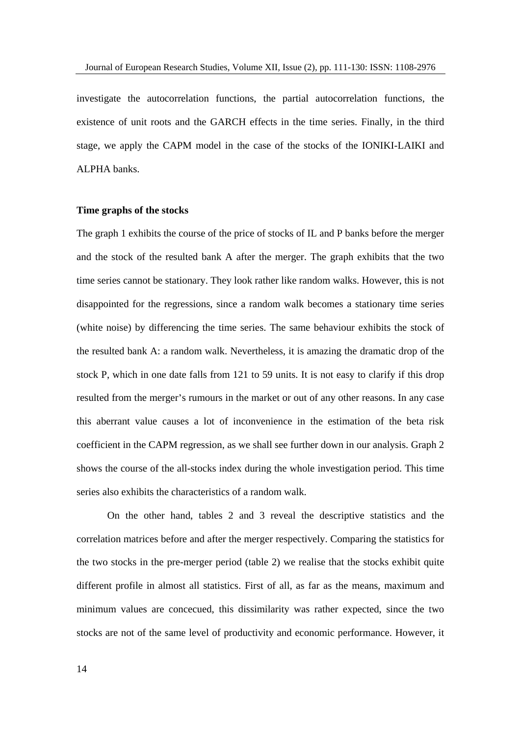investigate the autocorrelation functions, the partial autocorrelation functions, the existence of unit roots and the GARCH effects in the time series. Finally, in the third stage, we apply the CAPM model in the case of the stocks of the IONIKI-LAIKI and ALPHA banks.

#### **Time graphs of the stocks**

The graph 1 exhibits the course of the price of stocks of IL and P banks before the merger and the stock of the resulted bank A after the merger. The graph exhibits that the two time series cannot be stationary. They look rather like random walks. However, this is not disappointed for the regressions, since a random walk becomes a stationary time series (white noise) by differencing the time series. The same behaviour exhibits the stock of the resulted bank A: a random walk. Nevertheless, it is amazing the dramatic drop of the stock P, which in one date falls from 121 to 59 units. It is not easy to clarify if this drop resulted from the merger's rumours in the market or out of any other reasons. In any case this aberrant value causes a lot of inconvenience in the estimation of the beta risk coefficient in the CAPM regression, as we shall see further down in our analysis. Graph 2 shows the course of the all-stocks index during the whole investigation period. This time series also exhibits the characteristics of a random walk.

On the other hand, tables 2 and 3 reveal the descriptivestatistics and the correlation matrices before and after the merger respectively. Comparing the statistics for the two stocks in the pre-merger period (table 2) we realise that the stocks exhibit quite different profile in almost all statistics. First of all, as far as the means, maximum and minimum values are concecued, this dissimilarity was rather expected, since the two stocks are not of the same level of productivity and economic performance. However, it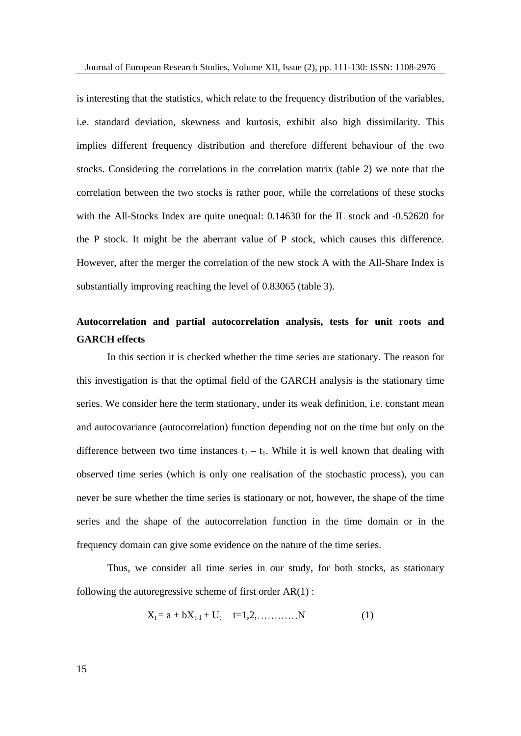is interesting that the statistics, which relate to the frequency distribution of the variables, i.e. standard deviation, skewness and kurtosis, exhibit also high dissimilarity. This implies different frequency distribution and therefore different behaviour of the two stocks. Considering the correlations in the correlation matrix (table 2) we note that the correlation between the two stocks is rather poor, while the correlations of these stocks with the All-Stocks Index are quite unequal: 0.14630 for the IL stock and -0.52620 for the P stock. It might be the aberrant value of P stock, which causes this difference. However, after the merger the correlation of the new stock A with the All-Share Index is substantially improving reaching the level of 0.83065 (table 3).

# **Autocorrelation and partial autocorrelation analysis, tests for unit roots and GARCH effects**

In this section it is checked whether the time series are stationary. The reason for this investigation is that the optimal field of the GARCH analysis is the stationary time series. We consider here the term stationary, under its weak definition, i.e. constant mean and autocovariance (autocorrelation) function depending not on the time but only on the difference between two time instances  $t_2 - t_1$ . While it is well known that dealing with observed time series (which is only one realisation of the stochastic process), you can never be sure whether the time series is stationary or not, however, the shape of the time series and the shape of the autocorrelation function in the time domain or in the frequency domain can give some evidence on the nature of the time series. cy domain can give some evidence on the nature of the time series.<br>Thus, we consider all time series in our study, for both stocks, as stationary

following the autoregressive scheme of first order  $AR(1)$ :

$$
X_t = a + bX_{t-1} + U_t \t t = 1, 2, \dots, N \t (1)
$$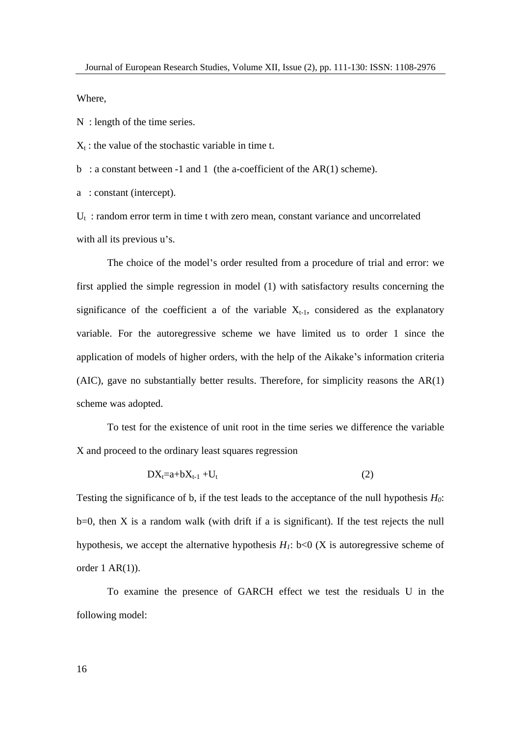Where,

N : length of the time series.

 $X_t$ : the value of the stochastic variable in time t.

b : a constant between -1 and 1 (the a-coefficient of the  $AR(1)$  scheme).

a : constant (intercept).

 $U_t$ : random error term in time t with zero mean, constant variance and uncorrelated with all its previous  $u$ 's.

The choice of the model's order resulted from a procedure of trial and error: we first applied the simple regression in model (1) with satisfactory results concerning the significance of the coefficient a of the variable  $X_{t-1}$ , considered as the explanatory variable. For the autoregressive scheme we have limited us to order 1 since the application of models of higher orders, with the help of the Aikake's information criteria (AIC), gave no substantially better results. Therefore, for simplicity reasons the AR(1) scheme was adopted.

To test for the existence of unit root in the time series we difference the variable X and proceed to the ordinary least squares regression

$$
DX_{t-1}+DX_{t-1}+U_t \hspace{2cm} (2)
$$

Testing the significance of b, if the test leads to the acceptance of the null hypothesis *H0*:  $b=0$ , then X is a random walk (with drift if a is significant). If the test rejects the null hypothesis, we accept the alternative hypothesis  $H_1$ : b<0 (X is autoregressive scheme of order  $1 AR(1)$ ).

To examine the presence of GARCH effect we test the residuals U in the following model: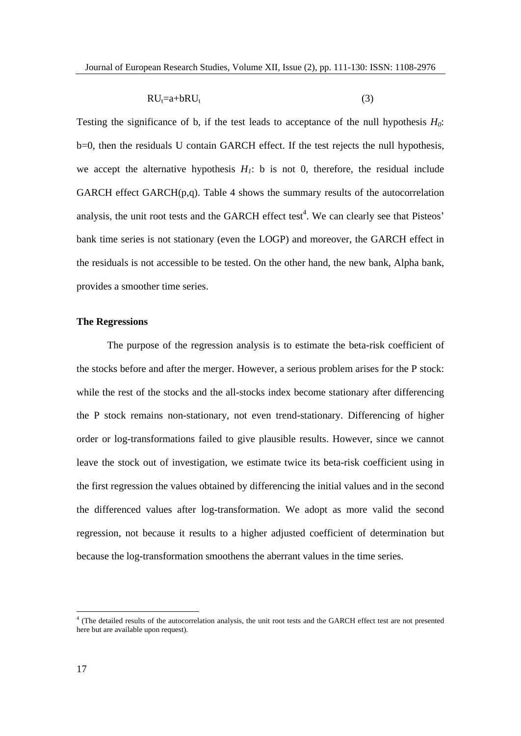$$
RUt=a+bRUt \t\t(3)
$$

Testing the significance of b, if the test leads to acceptance of the null hypothesis  $H_0$ : b=0, then the residuals U contain GARCH effect. If the test rejects the null hypothesis,<br>we accept the alternative hypothesis  $H_1$ : b is not 0, therefore, the residual include GARCH effect GARCH $(p,q)$ . Table 4 shows the summary results of the autocorrelation analysis, the unit root tests and the GARCH effect test<sup>4</sup>. We can clearly see that Pisteos' bank time series is not stationary (even the LOGP) and moreover, the GARCH effect in the residuals is not accessible to be tested. On the other hand, the new bank, Alpha bank, provides a smoother time series.

### **The Regressions**

The purpose of the regression analysis is to estimate the beta-risk coefficient of the stocks before and after the merger. However, a serious problem arises for the P stock: while the rest of the stocks and the all-stocks index become stationary after differencing the P stock remains non-stationary, not even trend-stationary. Differencing of higher order or log-transformations failed to give plausible results. However, since we cannot leave the stock out of investigation, we estimate twice its beta-risk coefficient using in the first regression the values obtained by differencing the initial values and in the second the differenced values after log-transformation. We adopt as more valid the second regression, not because it results to a higher adjusted coefficient of determination but because the log-transformation smoothens the aberrant values in the time series.

<sup>&</sup>lt;sup>4</sup> (The detailed results of the autocorrelation analysis, the unit root tests and the GARCH effect test are not presented here but are available upon request).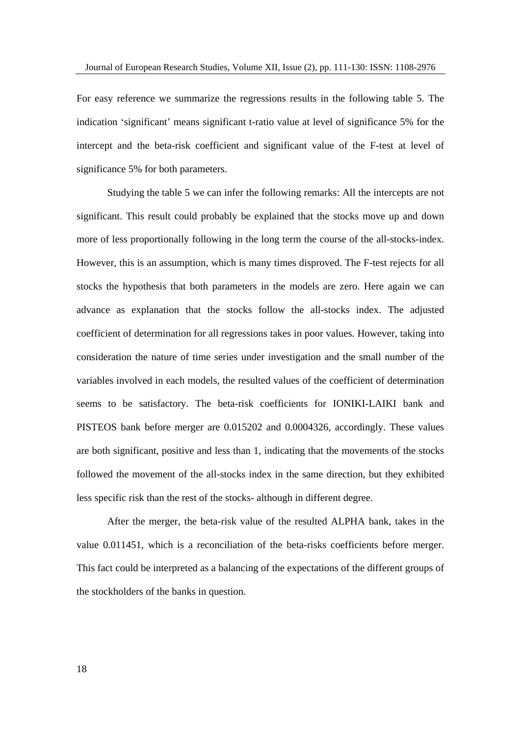For easy reference we summarize the regressions results in the following table 5. The indication 'significant' means significant t-ratio value at level of significance 5% for the intercept and the beta-risk coefficient and significant value of the F-test at level of significance 5% for both parameters.

Studying the table 5 we can infer the following remarks: All the intercepts are not significant. This result could probably be explained that the stocks move up and down more of less proportionally following in the long term the course of the all-stocks-index. However, this is an assumption, which is many times disproved. The F-test rejects for all stocks the hypothesis that both parameters in the models are zero. Here again we can advance as explanation that the stocks follow the all-stocks index. The adjusted coefficient of determination for all regressions takes in poor values. However, taking into consideration the nature of time series under investigation and the small number of the variables involved in each models, the resulted values of the coefficient of determination seems to be satisfactory. The beta-risk coefficients for IONIKI-LAIKI bank and PISTEOS bank before merger are 0.015202 and 0.0004326, accordingly. These values are both significant, positive and less than 1, indicating that the movements of the stocks followed the movement of the all-stocks index in the same direction, but they exhibited less specific risk than the rest of the stocks- although in different degree.

After the merger, the beta-risk value of the resulted ALPHA bank, takes in the value 0.011451, which is a reconciliation of the beta-risks coefficients before merger.<br>This fact could be interpreted as a balancing of the expectations of the different groups of the stockholders of the banks in question.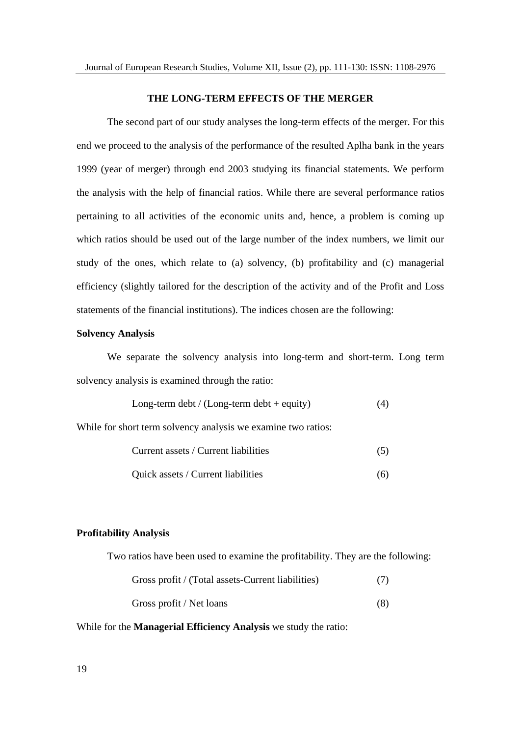### **THE LONG-TERM EFFECTS OF THE MERGER**

The second part of our study analyses the long-term effects of the merger. For this end we proceed to the analysis of the performance of the resulted Aplha bank in the years 1999 (year of merger) through end 2003 studying its financial statements. We perform the analysis with the help of financial ratios. While there are several performance ratios pertaining to all activities of the economic units and, hence, a problem is coming up which ratios should be used out of the large number of the index numbers, we limit our study of the ones, which relate to (a) solvency, (b) profitability and (c) managerial efficiency (slightly tailored for the description of the activity and of the Profit and Loss statements of the financial institutions). The indices chosen are the following:

### **Solvency Analysis**

We separate the solvency analysis into long-term and short-term. Long term solvency analysis is examined through the ratio:

Long-term debt / (Long-term debt + equity) 
$$
(4)
$$

While for short term solvency analysis we examine two ratios:

| $-1$ . The set of $\mathcal{A}$<br>$\sim$<br>. .<br>Current assets<br>Curren <sup>*</sup><br>t Iiabilities |  |  |
|------------------------------------------------------------------------------------------------------------|--|--|
|                                                                                                            |  |  |

| $\sim$<br>.<br>Ouick assets<br>Current Inabilities<br>(b) |  |
|-----------------------------------------------------------|--|
|-----------------------------------------------------------|--|

### **Profitability Analysis**

Two ratios have been used to examine the profitability. They are the following:

| Gross profit / (Total assets-Current liabilities) |     |  |
|---------------------------------------------------|-----|--|
| Gross profit / Net loans                          | ιo. |  |

### While for the **Managerial Efficiency Analysis** we study the ratio: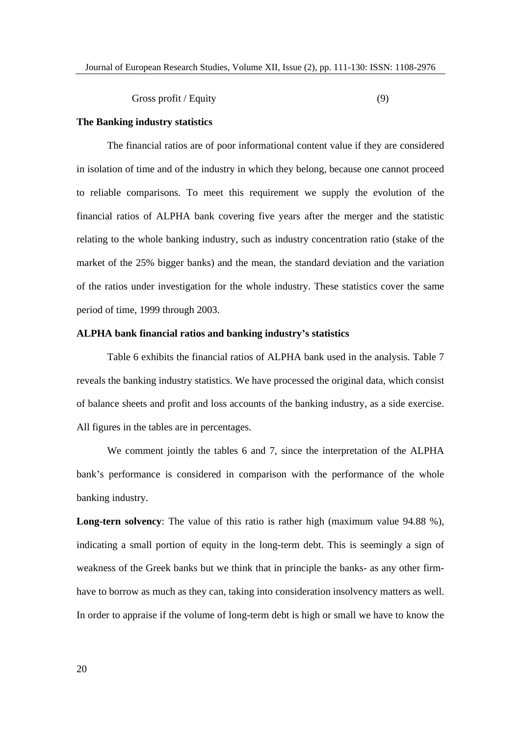Gross profit / Equity (9)

### **The Banking industry statistics**

The financial ratios are of poor informational content value if they are considered in isolation of time and of the industry in which they belong, because one cannot proceed to reliable comparisons. To meet this requirement we supply the evolution of the financial ratios of ALPHA bank covering five years after the merger and the statistic relating to the whole banking industry, such as industry concentration ratio (stake of the market of the 25% bigger banks) and the mean, the standard deviation and the variation of the ratios under investigation for the whole industry. These statistics cover the same period of time, 1999 through 2003.

### **ALPHA bank financial ratios and banking industry s statistics**

Table 6 exhibits the financial ratios of ALPHA bank used in the analysis. Table 7 reveals the banking industry statistics. We have processed the original data, which consist of balance sheets and profit and loss accounts of the banking industry, as a side exercise. All figures in the tables are in percentages.

We comment jointly the tables 6 and 7, since the interpretation of the ALPHA bank's performance is considered in comparison with the performance of the whole banking industry.

**Long-tern solvency**: The value of this ratio is rather high (maximum value 94.88 %), indicating a small portion of equity in the long-term debt. This is seemingly a sign of weakness of the Greek banks but we think that in principle the banks- as any other firm have to borrow as much as they can, taking into consideration insolvency matters as well.<br>In order to appraise if the volume of long-term debt is high or small we have to know the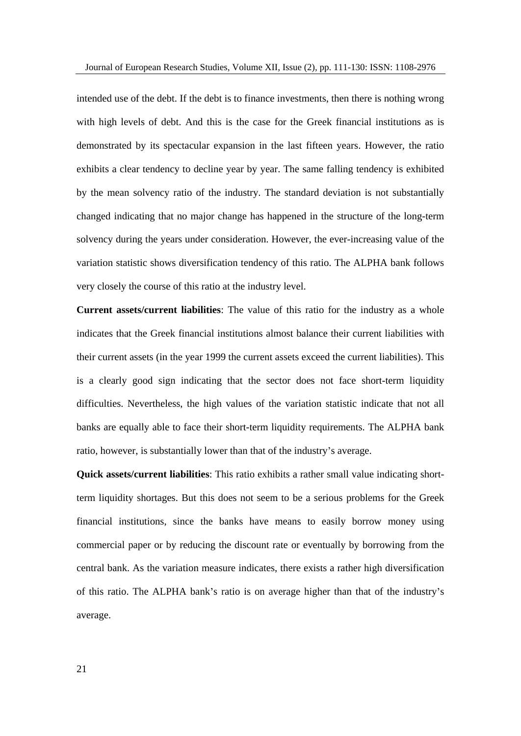intended use of the debt. If the debt is to finance investments, then there is nothing wrong with high levels of debt. And this is the case for the Greek financial institutions as is demonstrated by its spectacular expansion in the last fifteen years. However, the ratio exhibits a clear tendency to decline year by year. The same falling tendency is exhibited by the mean solvency ratio of the industry. The standard deviation is not substantially changed indicating that no major change has happened in the structure of the long-term solvency during the years under consideration. However, the ever-increasing value of the variation statistic shows diversification tendency of this ratio. The ALPHA bank follows very closely the course of this ratio at the industry level.

**Current assets/current liabilities**: The value of this ratio for the industry as a whole indicates that the Greek financial institutions almost balance their current liabilities with their current assets (in the year 1999 the current assets exceed the current liabilities). This is a clearly good sign indicating that the sector does not face short-term liquidity difficulties. Nevertheless, the high values of the variation statistic indicate that not all banks are equally able to face their short-term liquidity requirements. The ALPHA bank ratio, however, is substantially lower than that of the industry's average.

**Quick assets/current liabilities**: This ratio exhibits a rather small value indicating shortterm liquidity shortages. But this does not seem to be a serious problems for the Greek financial institutions, since the banks have means to easily borrow money using commercial paper or by reducing the discount rate or eventually by borrowing from the central bank. As the variation measure indicates, there exists a rather high diversification of this ratio. The ALPHA bank's ratio is on average higher than that of the industry's average.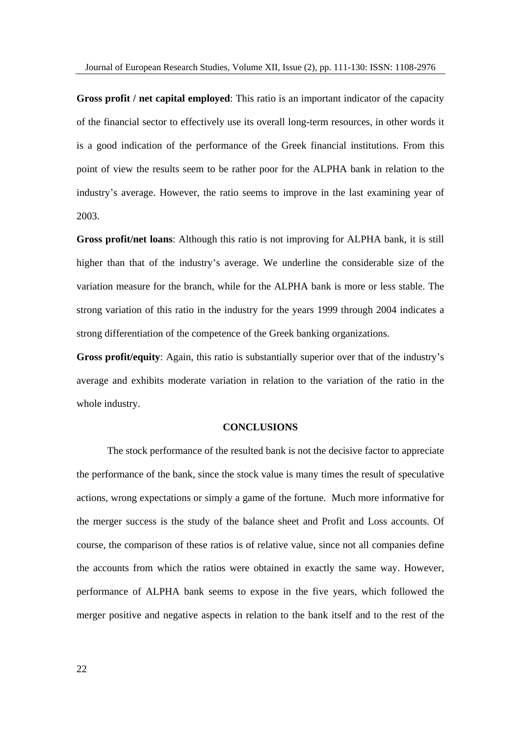**Gross profit / net capital employed**: This ratio is an important indicator of the capacity of the financial sector to effectively use its overall long-term resources, in other words it is a good indication of the performance of the Greek financial institutions. From this point of view the results seem to be rather poor for the ALPHA bank in relation to the industry's average. However, the ratio seems to improve in the last examining year of 2003.

**Gross profit/net loans**: Although this ratio is not improving for ALPHA bank, it is still higher than that of the industry's average. We underline the considerable size of the variation measure for the branch, while for the ALPHA bank is more or less stable. The strong variation of this ratio in the industry for the years 1999 through 2004 indicates a strong differentiation of the competence of the Greek banking organizations.

Gross profit/equity: Again, this ratio is substantially superior over that of the industry's average and exhibits moderate variation in relation to the variation of the ratio in the whole industry.

### **CONCLUSIONS**

The stock performance of the resulted bank is not the decisive factor to appreciate the performance of the bank, since the stock value is many times the result of speculative actions, wrong expectations or simply a game of the fortune. Much more informative for the merger success is the study of the balance sheet and Profit and Loss accounts. Of course, the comparison of these ratios is of relative value, since not all companies define the accounts from which the ratios were obtained in exactly the same way. However, performance of ALPHA bank seems to expose in the five years, which followed the merger positive and negative aspects in relation to the bank itself and to the rest of the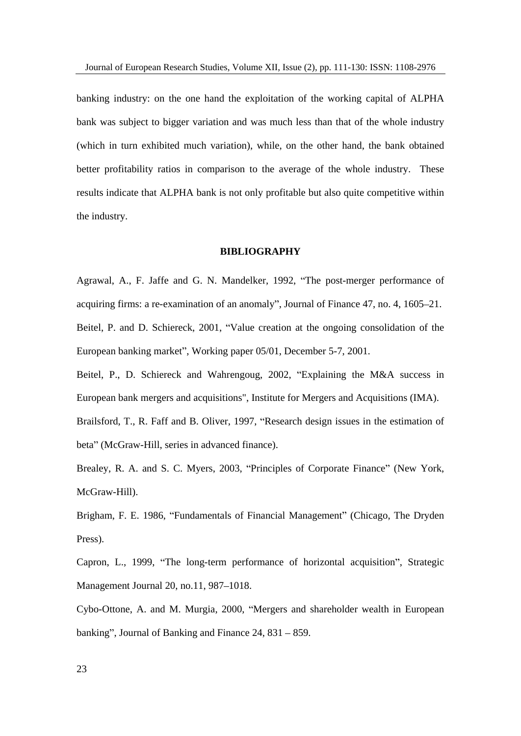banking industry: on the one hand the exploitation of theworking capital of ALPHA bank was subject to bigger variation and was much less than that of the whole industry (which in turn exhibited much variation), while, on the other hand, the bank obtained better profitability ratios in comparison to the average of the whole industry. These results indicate that ALPHA bank is not only profitable but also quite competitive within the industry.

### **BIBLIOGRAPHY**

Agrawal, A., F. Jaffe and G. N. Mandelker, 1992, "The post-merger performance of acquiring firms: a re-examination of an anomaly", Journal of Finance 47, no. 4, 1605–21. Beitel, P. and D. Schiereck, 2001, "Value creation at the ongoing consolidation of the European banking market", Working paper 05/01, December 5-7, 2001.

Beitel, P., D. Schiereck and Wahrengoug, 2002, "Explaining the M&A success in European bank mergers and acquisitions", Institute for Mergers and Acquisitions (IMA).

Brailsford, T., R. Faff and B. Oliver, 1997, "Research design issues in the estimation of beta" (McGraw-Hill, series in advanced finance).

Brealey, R. A. and S. C. Myers, 2003, "Principles of Corporate Finance" (New York, McGraw-Hill).

Brigham, F. E. 1986, "Fundamentals of Financial Management" (Chicago, The Dryden Press).<br>Capron, L., 1999, "The long-term performance of horizontal acquisition", Strategic

Management Journal 20, no.11, 987-1018.

Cybo-Ottone, A. and M. Murgia, 2000, "Mergers and shareholder wealth in European banking", Journal of Banking and Finance  $24$ ,  $831 - 859$ .

23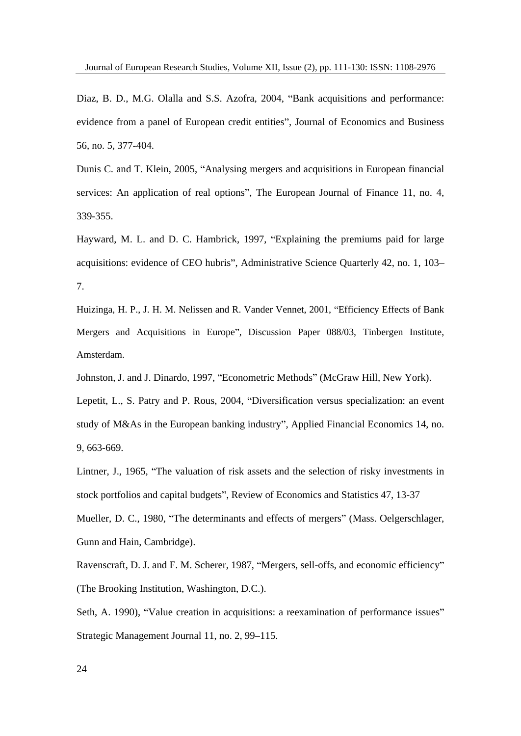Diaz, B. D., M.G. Olalla and S.S. Azofra, 2004, "Bank acquisitions and performance: evidence from a panel of European credit entities", Journal of Economics and Business 56, no. 5, 377-404.

Dunis C. and T. Klein, 2005, "Analysing mergers and acquisitions in European financial services: An application of real options", The European Journal of Finance 11, no. 4,<br>339-355.

Hayward, M. L. and D. C. Hambrick, 1997, "Explaining the premiums paid for large acquisitions: evidence of CEO hubris", Administrative Science Ouarterly 42, no. 1, 103– 7.

Huizinga, H. P., J. H. M. Nelissen and R. Vander Vennet, 2001, "Efficiency Effects of Bank Mergers and Acquisitions in Europe", Discussion Paper 088/03, Tinbergen Institute, Amsterdam.

Johnston, J. and J. Dinardo, 1997, "Econometric Methods" (McGraw Hill, New York).<br>Lepetit, L., S. Patry and P. Rous, 2004, "Diversification versus specialization: an event study of M&As in the European banking industry", Applied Financial Economics 14, no. 9, 663-669.

Lintner, J., 1965, "The valuation of risk assets and the selection of risky investments in stock portfolios and capital budgets", Review of Economics and Statistics 47, 13-37 Mueller, D. C., 1980, "The determinants and effects of mergers" (Mass. Oelgerschlager, Gunn and Hain, Cambridge).

Ravenscraft, D. J. and F. M. Scherer, 1987, "Mergers, sell-offs, and economic efficiency" (The Brooking Institution, Washington, D.C.).

Seth, A. 1990), "Value creation in acquisitions: a reexamination of performance issues" Strategic Management Journal 11, no. 2, 99–115.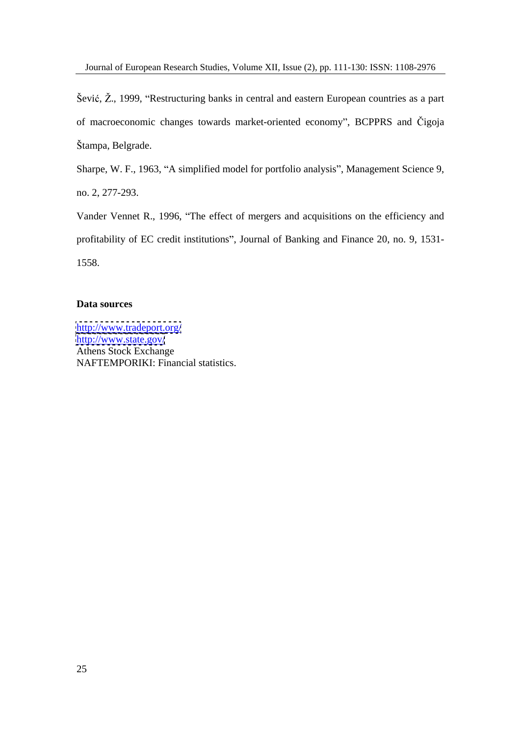Šević,  $\check{Z}$ ., 1999, "Restructuring banks in central and eastern European countries as a part of macroeconomic changes towards market-oriented economy", BCPPRS and Čigoja Štampa, Belgrade.

Sharpe, W. F., 1963, "A simplified model for portfolio analysis", Management Science 9, no. 2, 277-293.

Vander Vennet R., 1996, "The effect of mergers and acquisitions on the efficiency and profitability of EC credit institutions", Journal of Banking and Finance 20, no. 9, 1531-1558.

### **Data sources**

<http://www.tradeport.org/> <http://www.state.gov/> Athens Stock Exchange NAFTEMPORIKI: Financial statistics.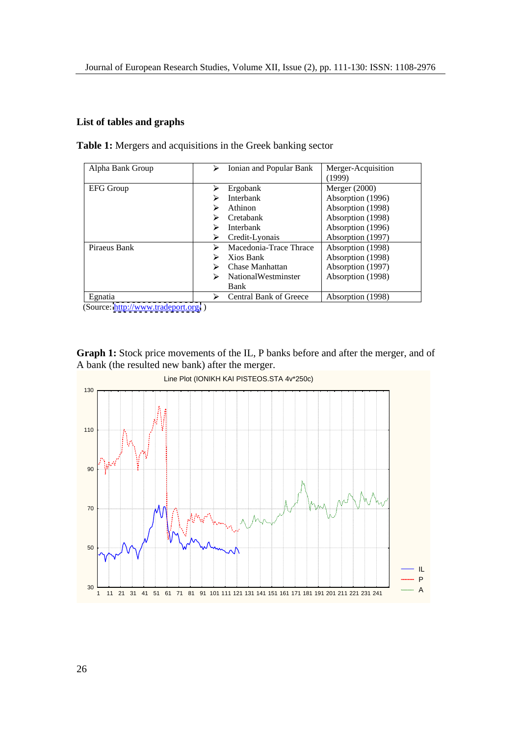## **List of tables and graphs**

| Alpha Bank Group | Ionian and Popular Bank          | Merger-Acquisition<br>(1999) |
|------------------|----------------------------------|------------------------------|
| <b>EFG Group</b> | Ergobank                         | <b>Merger</b> (2000)         |
|                  | Interbank                        | Absorption (1996)            |
|                  | Athinon                          | Absorption (1998)            |
|                  | $\triangleright$ Cretabank       | Absorption (1998)            |
|                  | Interbank                        | Absorption (1996)            |
|                  | $\triangleright$ Credit-Lyonais  | Absorption (1997)            |
| Piraeus Bank     | Macedonia-Trace Thrace           | Absorption (1998)            |
|                  | Xios Bank                        | Absorption (1998)            |
|                  | $\triangleright$ Chase Manhattan | Absorption (1997)            |
|                  | NationalWestminster              | Absorption (1998)            |
|                  | Bank                             |                              |
| Egnatia          | <b>Central Bank of Greece</b>    | Absorption (1998)            |

**Table 1:** Mergers and acquisitions in the Greek banking sector

(Source:<http://www.tradeport.org/> )

**Graph 1:** Stock price movements of the IL, P banks before and after the merger, and of A bank (the resulted new bank) after the merger.

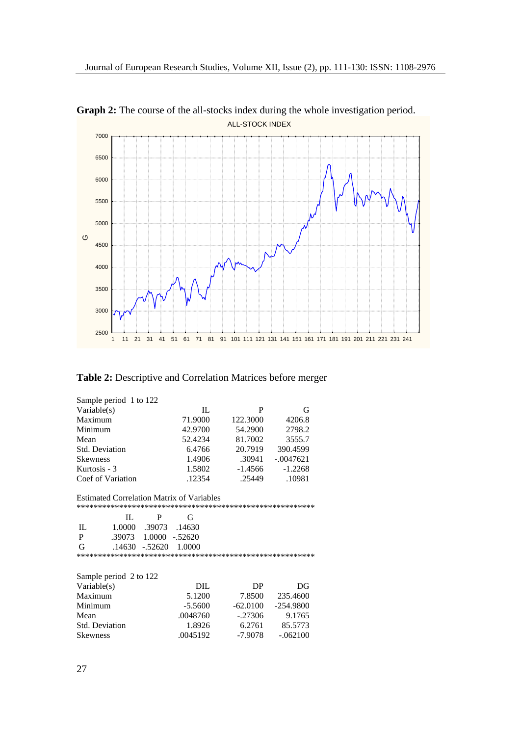

**Graph 2:** The course of the all-stocks index during the whole investigation period. ALL-STOCK INDEX

**Table 2:** Descriptive and Correlation Matrices before merger

| Sample period 1 to 122<br>Variable(s)            | -IL       |            | $\mathbf G$ |
|--------------------------------------------------|-----------|------------|-------------|
| Maximum                                          | 71.9000   | 122.3000   | 4206.8      |
| Minimum                                          | 42.9700   | 54.2900    | 2798.2      |
| Mean                                             | 52.4234   | 81.7002    | 3555.7      |
| Std. Deviation                                   | 6.4766    | 20.7919    | 390.4599    |
| Skewness                                         | 1.4906    | .30941     | $-.0047621$ |
| Kurtosis - 3                                     | 1.5802    | $-1.4566$  | $-1.2268$   |
| Coef of Variation                                | .12354    | .25449     | .10981      |
|                                                  |           |            |             |
| <b>Estimated Correlation Matrix of Variables</b> |           |            |             |
|                                                  |           |            |             |
| $_{\rm IL}$                                      |           |            |             |
| 1.0000 .39073 .14630<br>IL                       |           |            |             |
| .39073  1.0000  -.52620                          |           |            |             |
| .14630 -.52620 1.0000<br>G                       |           |            |             |
|                                                  |           |            |             |
|                                                  |           |            |             |
| Sample period 2 to 122                           |           |            |             |
| Variable(s)                                      | DIL       | DP         | DG          |
| Maximum                                          | 5.1200    | 7.8500     | 235.4600    |
| Minimum                                          | $-5.5600$ | $-62.0100$ | -254.9800   |
| Mean                                             | .0048760  | $-.27306$  | 9.1765      |
| Std. Deviation                                   | 1.8926    | 6.2761     | 85.5773     |
| Skewness                                         | .0045192  | $-7.9078$  | $-.062100$  |
|                                                  |           |            |             |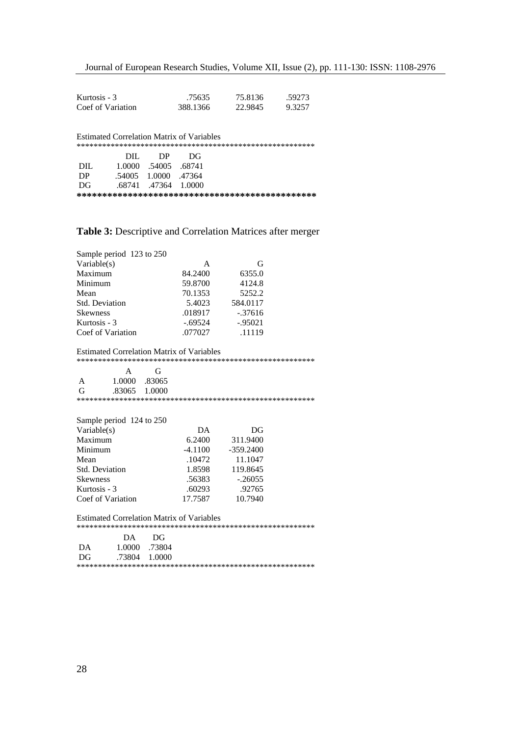| Kurtosis - 3                                     | .75635                 | 75.8136 | .59273 |
|--------------------------------------------------|------------------------|---------|--------|
| Coef of Variation                                | 388.1366               | 22.9845 | 9.3257 |
|                                                  |                        |         |        |
|                                                  |                        |         |        |
| <b>Estimated Correlation Matrix of Variables</b> |                        |         |        |
|                                                  |                        |         |        |
| DIL                                              | DP<br>DG               |         |        |
| $\rm DIL$                                        | 1.0000 .54005 .68741   |         |        |
| DP                                               | .54005  1.0000  .47364 |         |        |
| DG                                               | .68741 .47364 1.0000   |         |        |
|                                                  |                        |         |        |

# **Table 3:** Descriptive and Correlation Matrices after merger

| Sample period 123 to 250<br>Variable(s) |           |           |
|-----------------------------------------|-----------|-----------|
| Maximum                                 | 84.2400   | 6355.0    |
| Minimum                                 | 59.8700   | 4124.8    |
| Mean                                    | 70.1353   | 5252.2    |
| Std. Deviation                          | 5.4023    | 584.0117  |
| Skewness                                | .018917   | $-.37616$ |
| Kurtosis - 3                            | $-.69524$ | $-.95021$ |
| Coef of Variation                       | .077027   | .11119    |
|                                         |           |           |

### Estimated Correlation Matrix of Variables

\*\*\*\*\*\*\*\*\*\*\*\*\*\*\*\*\*\*\*\*\*\*\*\*\*\*\*\*\*\*\*\*\*\*\*\*\*\*\*\*\*\*\*\*\*\*\*\*\*\*\*\*\*\*\*\*

| 1.0000 .83065<br>2065<br>1.0000<br>$\sim$ $\sim$ $\sim$ |  |  |
|---------------------------------------------------------|--|--|
|                                                         |  |  |
|                                                         |  |  |
|                                                         |  |  |

| Sample period 124 to 250<br>Variable(s) | $\mathbf{DA}$ | $\mathop{\rm DG}$ |
|-----------------------------------------|---------------|-------------------|
| Maximum                                 | 6.2400        | 311.9400          |
| Minimum                                 | $-4.1100$     | $-359.2400$       |
| Mean                                    | .10472        | 11.1047           |
| Std. Deviation                          | 1.8598        | 119.8645          |
| Skewness                                | .56383        | $-.26055$         |
| Kurtosis - 3                            | .60293        | .92765            |
| Coef of Variation                       | 17.7587       | 10.7940           |

Estimated Correlation Matrix of Variables

\*\*\*\*\*\*\*\*\*\*\*\*\*\*\*\*\*\*\*\*\*\*\*\*\*\*\*\*\*\*\*\*\*\*\*\*\*\*\*\*\*\*\*\*\*\*\*\*\*\*\*\*\*\*\*\*

| DG<br>$\mathbf{v}$<br>$\overline{v}$      |  |
|-------------------------------------------|--|
| DA<br>.73804<br>0000                      |  |
| DG<br>1.0000<br>יוחר<br>$\cdot$ , $\cdot$ |  |
|                                           |  |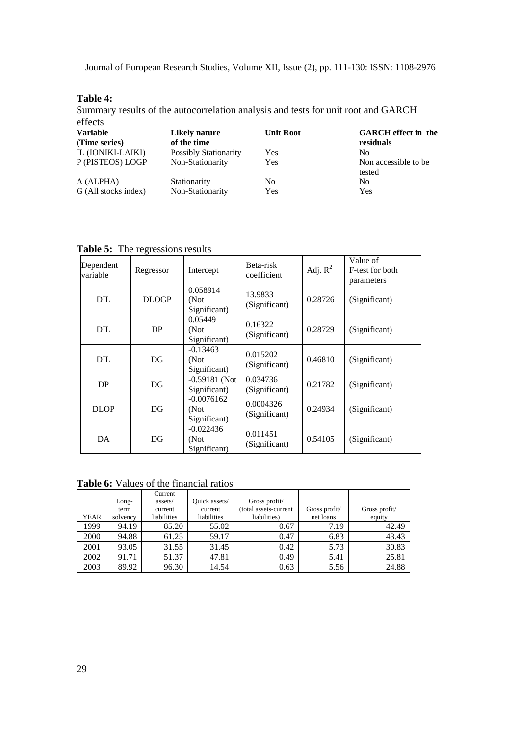### **Table 4:**

Summary results of the autocorrelation analysis and tests for unit root and GARCH effects and the set of the set of the set of the set of the set of the set of the set of the set of the set of the set of the set of the set of the set of the set of the set of the set of the set of the set of the set of t

| $\sum_{i=1}^{n}$     |                              |                  |                            |
|----------------------|------------------------------|------------------|----------------------------|
| <b>Variable</b>      | <b>Likely nature</b>         | <b>Unit Root</b> | <b>GARCH</b> effect in the |
| (Time series)        | of the time                  |                  | residuals                  |
| IL (IONIKI-LAIKI)    | <b>Possibly Stationarity</b> | Yes              |                            |
| P (PISTEOS) LOGP     | Non-Stationarity             | Yes              | Non accessible to be       |
|                      |                              |                  | tested                     |
| A (ALPHA)            | Stationarity                 | No               |                            |
| G (All stocks index) | Non-Stationarity             | Yes              | Y es                       |
|                      |                              |                  |                            |

| Dependent<br>variable | Regressor    | Intercept                                  | Beta-risk<br>coefficient   | Adj. $R^2$ | Value of<br>F-test for both<br>parameters |
|-----------------------|--------------|--------------------------------------------|----------------------------|------------|-------------------------------------------|
| $\rm DIL$             | <b>DLOGP</b> | 0.058914<br>(Not<br>Significant)           | 13.9833<br>(Significant)   | 0.28726    | (Significant)                             |
| DIL                   | DP           | 0.05449<br>(Not<br>Significant)            | 0.16322<br>(Significant)   | 0.28729    | (Significant)                             |
| $\rm DIL$             | DG           | $-0.13463$<br>(Not<br>Significant)         | 0.015202 <br>(Significant) | 0.46810    | (Significant)                             |
| DP                    | DG           | $-0.59181$ (Not   0.034736<br>Significant) | (Significant)              | 0.21782    | (Significant)                             |
| <b>DLOP</b>           | DG           | $-0.0076162$<br>(Not<br>Significant)       | 0.0004326<br>(Significant) | 0.24934    | (Significant)                             |
| DA                    | DG           | $-0.022436$<br>(Not<br>Significant)        | 0.011451<br>(Significant)  |            | $\big  0.54105 \big $ (Significant)       |

# **Table 5:** The regressions results

# **Table 6:** Values of the financial ratios

|      |               | Current     |               |                       |              |               |
|------|---------------|-------------|---------------|-----------------------|--------------|---------------|
|      | Long-         | assets/     | Quick assets/ | Gross profit/         |              |               |
|      | term          | current     | current       | (total assets-current | Gross profit | Gross profit/ |
|      | YEAR solvency | liabilities | liabilities   | liabilities)          | net loans    | equity        |
| 1999 | 94.19         | 85.20       | 55.02         | 0.67                  | 7.19         | 42.49         |
| 2000 | 94.88         | 61.25       | 59.17         | 0.47                  | 6.83         | 43.43         |
| 2001 | 93.05         | 31.55       | 31.45         | 0.42                  | 5.73         | 30.83         |
| 2002 | 91.71         | 51.37       | 47.81         | 0.49                  | 5.41         | 25.81         |
| 2003 | 89.92         | 96.30       | 14.54         | 0.63                  | 5.56         | 24.88         |